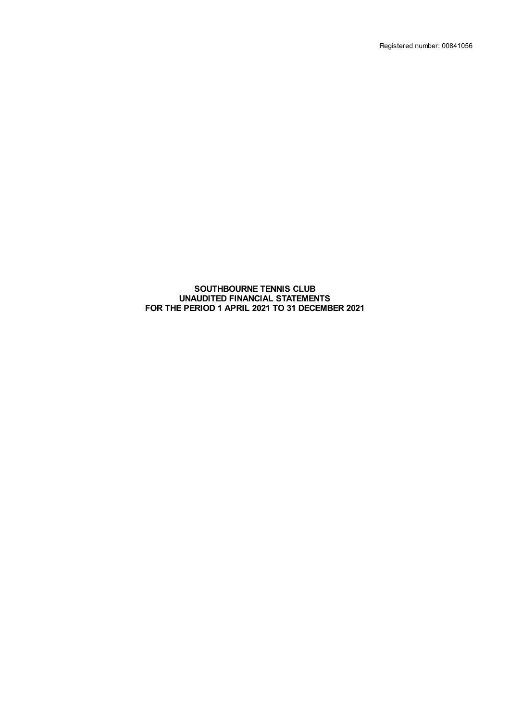Registered number: 00841056

#### **SOUTHBOURNE TENNIS CLUB UNAUDITED FINANCIAL STATEMENTS FOR THE PERIOD 1 APRIL 2021 TO 31 DECEMBER 2021**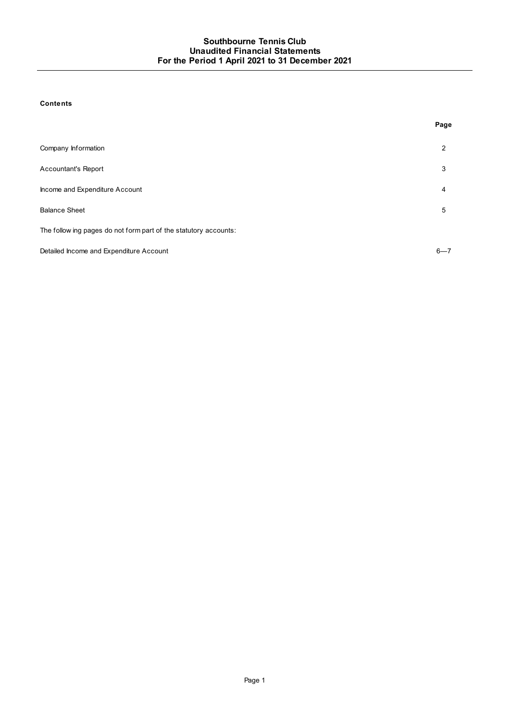## **Contents**

|                                                                  | Page    |
|------------------------------------------------------------------|---------|
| Company Information                                              | 2       |
| <b>Accountant's Report</b>                                       | 3       |
| Income and Expenditure Account                                   | 4       |
| <b>Balance Sheet</b>                                             | 5       |
| The follow ing pages do not form part of the statutory accounts: |         |
| Detailed Income and Expenditure Account                          | $6 - 7$ |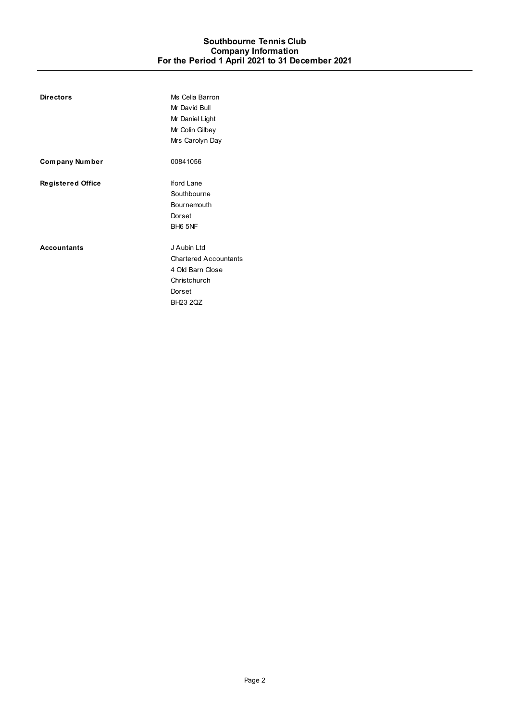<span id="page-2-0"></span>

| <b>Directors</b>         | Ms Celia Barron<br>Mr David Bull<br>Mr Daniel Light<br>Mr Colin Gilbey<br>Mrs Carolyn Day                    |
|--------------------------|--------------------------------------------------------------------------------------------------------------|
| Company Number           | 00841056                                                                                                     |
| <b>Registered Office</b> | lford Lane<br>Southbourne<br>Bournemouth<br>Dorset<br>BH <sub>6</sub> 5NF                                    |
| <b>Accountants</b>       | J Aubin Ltd<br><b>Chartered Accountants</b><br>4 Old Barn Close<br>Christchurch<br>Dorset<br><b>BH23 2QZ</b> |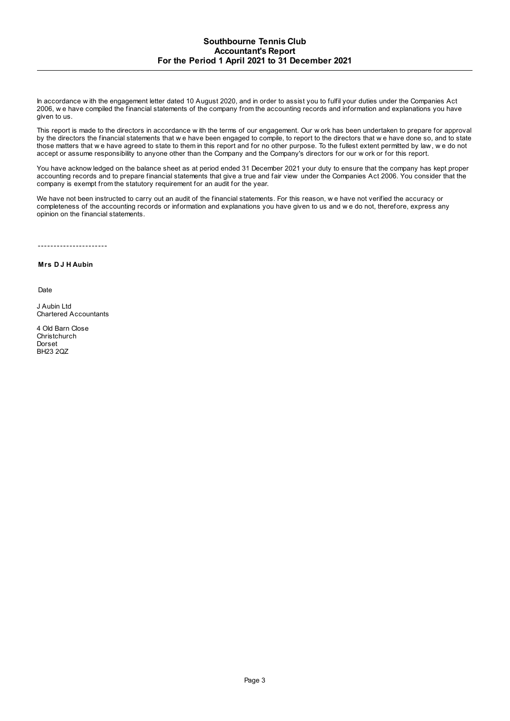<span id="page-3-0"></span>In accordance w ith the engagement letter dated 10 August 2020, and in order to assist you to fulfil your duties under the Companies Act 2006, w e have compiled the financial statements of the company from the accounting records and information and explanations you have given to us.

This report is made to the directors in accordance w ith the terms of our engagement. Our w ork has been undertaken to prepare for approval by the directors the financial statements that we have been engaged to compile, to report to the directors that we have done so, and to state those matters that w e have agreed to state to them in this report and for no other purpose. To the fullest extent permitted by law, w e do not accept or assume responsibility to anyone other than the Company and the Company's directors for our w ork or for this report.

You have acknow ledged on the balance sheet as at period ended 31 December 2021 your duty to ensure that the company has kept proper accounting records and to prepare financial statements that give a true and fair view under the Companies Act 2006. You consider that the company is exempt from the statutory requirement for an audit for the year.

We have not been instructed to carry out an audit of the financial statements. For this reason, w e have not verified the accuracy or completeness of the accounting records or information and explanations you have given to us and w e do not, therefore, express any opinion on the financial statements.

----------------------

**Mrs D J H Aubin**

Date

J Aubin Ltd Chartered Accountants

4 Old Barn Close **Christchurch** Dorset BH23 2QZ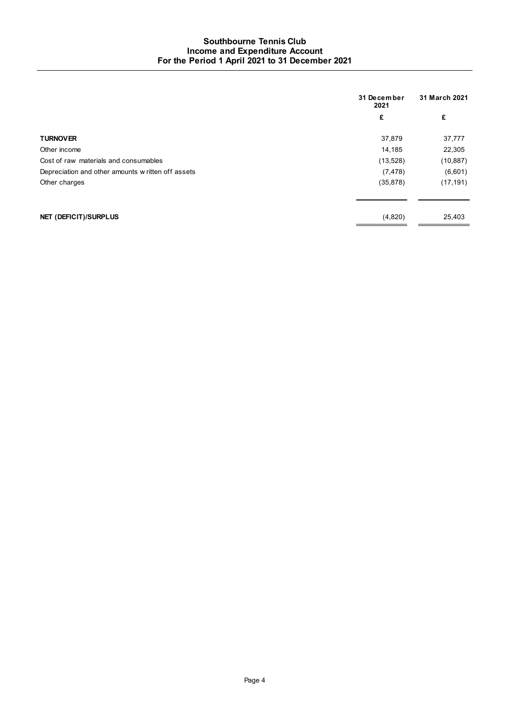# **Southbourne Tennis Club Income and Expenditure Account For the Period 1 April 2021 to 31 December 2021**

<span id="page-4-0"></span>

|                                                    | 31 December<br>2021 | 31 March 2021 |  |
|----------------------------------------------------|---------------------|---------------|--|
|                                                    | £                   | £             |  |
| <b>TURNOVER</b>                                    | 37,879              | 37,777        |  |
| Other income                                       | 14,185              | 22,305        |  |
| Cost of raw materials and consumables              | (13,528)            | (10, 887)     |  |
| Depreciation and other amounts w ritten off assets | (7, 478)            | (6,601)       |  |
| Other charges                                      | (35, 878)           | (17, 191)     |  |
| NET (DEFICIT)/SURPLUS                              | (4,820)             | 25,403        |  |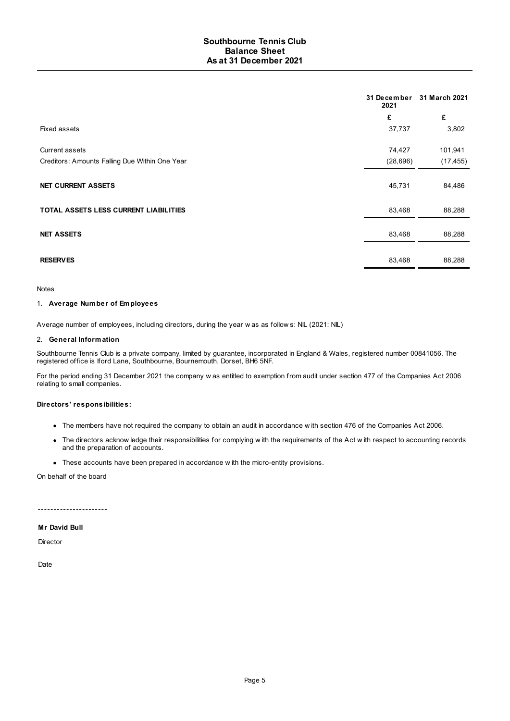<span id="page-5-0"></span>

|                                                | 31 December<br>2021 | 31 March 2021 |
|------------------------------------------------|---------------------|---------------|
|                                                | £                   | £             |
| Fixed assets                                   | 37,737              | 3,802         |
| Current assets                                 | 74,427              | 101,941       |
| Creditors: Amounts Falling Due Within One Year | (28, 696)           | (17, 455)     |
| <b>NET CURRENT ASSETS</b>                      | 45,731              | 84,486        |
| <b>TOTAL ASSETS LESS CURRENT LIABILITIES</b>   | 83,468              | 88,288        |
| <b>NET ASSETS</b>                              | 83,468              | 88,288        |
| <b>RESERVES</b>                                | 83,468              | 88,288        |

Notes

#### 1. **Average Number of Employees**

Average number of employees, including directors, during the year w as as follow s: NIL (2021: NIL)

## 2. **General Information**

Southbourne Tennis Club is a private company, limited by guarantee, incorporated in England & Wales, registered number 00841056. The registered office is Iford Lane, Southbourne, Bournemouth, Dorset, BH6 5NF.

For the period ending 31 December 2021 the company w as entitled to exemption from audit under section 477 of the Companies Act 2006 relating to small companies.

#### **Directors' responsibilities:**

- The members have not required the company to obtain an audit in accordance w ith section 476 of the Companies Act 2006.
- The directors acknow ledge their responsibilities for complying w ith the requirements of the Act w ith respect to accounting records and the preparation of accounts.
- These accounts have been prepared in accordance w ith the micro-entity provisions.

On behalf of the board

\_\_\_\_\_\_\_\_\_\_\_\_\_\_\_\_\_\_\_\_\_\_\_\_

## **Mr David Bull**

Director

Date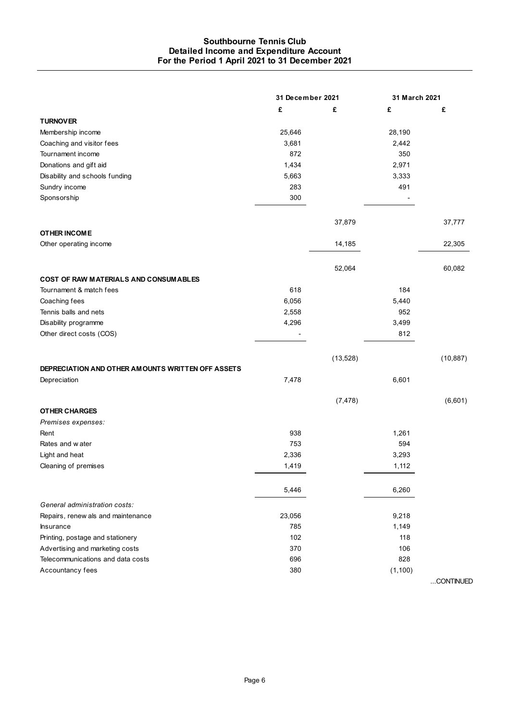# **Southbourne Tennis Club Detailed Income and Expenditure Account For the Period 1 April 2021 to 31 December 2021**

<span id="page-6-0"></span>

|                                                   | 31 December 2021 |           | 31 March 2021 |           |
|---------------------------------------------------|------------------|-----------|---------------|-----------|
|                                                   | £                | £         | £             | £         |
| <b>TURNOVER</b>                                   |                  |           |               |           |
| Membership income                                 | 25,646           |           | 28,190        |           |
| Coaching and visitor fees                         | 3,681            |           | 2,442         |           |
| Tournament income                                 | 872              |           | 350           |           |
| Donations and gift aid                            | 1,434            |           | 2,971         |           |
| Disability and schools funding                    | 5,663            |           | 3,333         |           |
| Sundry income                                     | 283              |           | 491           |           |
| Sponsorship                                       | 300              |           |               |           |
|                                                   |                  | 37,879    |               | 37,777    |
| <b>OTHER INCOME</b>                               |                  |           |               |           |
| Other operating income                            |                  | 14,185    |               | 22,305    |
|                                                   |                  | 52,064    |               | 60,082    |
| <b>COST OF RAW MATERIALS AND CONSUMABLES</b>      |                  |           |               |           |
| Tournament & match fees                           | 618              |           | 184           |           |
| Coaching fees                                     | 6,056            |           | 5,440         |           |
| Tennis balls and nets                             | 2,558            |           | 952           |           |
| Disability programme                              | 4,296            |           | 3,499         |           |
| Other direct costs (COS)                          |                  |           | 812           |           |
|                                                   |                  | (13, 528) |               | (10, 887) |
| DEPRECIATION AND OTHER AMOUNTS WRITTEN OFF ASSETS |                  |           |               |           |
| Depreciation                                      | 7,478            |           | 6,601         |           |
|                                                   |                  | (7, 478)  |               | (6,601)   |
| <b>OTHER CHARGES</b>                              |                  |           |               |           |
| Premises expenses:                                |                  |           |               |           |
| Rent                                              | 938              |           | 1,261         |           |
| Rates and w ater                                  | 753              |           | 594           |           |
| Light and heat                                    | 2,336            |           | 3,293         |           |
| Cleaning of premises                              | 1,419            |           | 1,112         |           |
|                                                   | 5,446            |           | 6,260         |           |
| General administration costs:                     |                  |           |               |           |
| Repairs, renew als and maintenance                | 23,056           |           | 9,218         |           |
| <b>Insurance</b>                                  | 785              |           | 1,149         |           |
| Printing, postage and stationery                  | 102              |           | 118           |           |
| Advertising and marketing costs                   | 370              |           | 106           |           |
| Telecommunications and data costs                 | 696              |           | 828           |           |
| Accountancy fees                                  | 380              |           | (1, 100)      |           |
|                                                   |                  |           |               | CONTINUED |